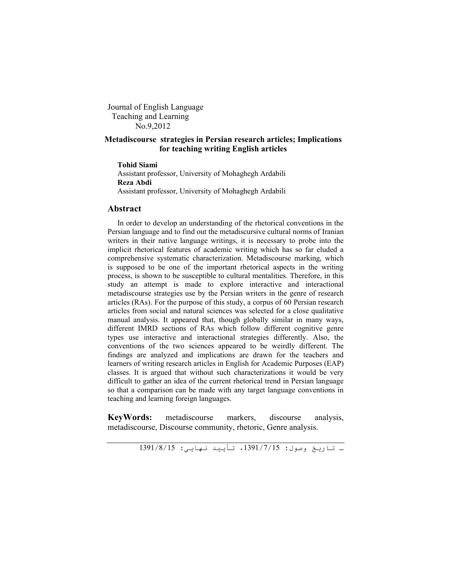Journal of English Language Teaching and Learning No.9,2012

# **Metadiscourse strategies in Persian research articles; Implications for teaching writing English articles**

### **Tohid Siami**

Assistant professor, University of Mohaghegh Ardabili **Reza Abdi**  Assistant professor, University of Mohaghegh Ardabili

#### **Abstract**

In order to develop an understanding of the rhetorical conventions in the Persian language and to find out the metadiscursive cultural norms of Iranian writers in their native language writings, it is necessary to probe into the implicit rhetorical features of academic writing which has so far eluded a comprehensive systematic characterization. Metadiscourse marking, which is supposed to be one of the important rhetorical aspects in the writing process, is shown to be susceptible to cultural mentalities. Therefore, in this study an attempt is made to explore interactive and interactional metadiscourse strategies use by the Persian writers in the genre of research articles (RAs). For the purpose of this study, a corpus of 60 Persian research articles from social and natural sciences was selected for a close qualitative manual analysis. It appeared that, though globally similar in many ways, different IMRD sections of RAs which follow different cognitive genre types use interactive and interactional strategies differently. Also, the conventions of the two sciences appeared to be weirdly different. The findings are analyzed and implications are drawn for the teachers and learners of writing research articles in English for Academic Purposes (EAP) classes. It is argued that without such characterizations it would be very difficult to gather an idea of the current rhetorical trend in Persian language so that a comparison can be made with any target language conventions in teaching and learning foreign languages.

**KeyWords:** metadiscourse markers, discourse analysis, metadiscourse, Discourse community, rhetoric, Genre analysis.

ـ تاریخ وصول: ،1391/7/15 تأیید نھایی: 1391/8/15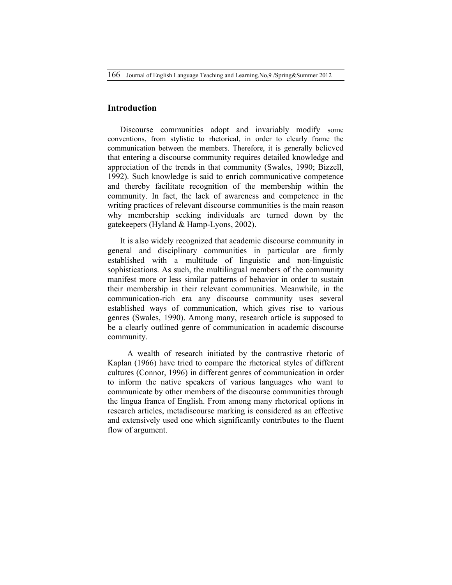166 Journal of English Language Teaching and Learning.No,9 /Spring&Summer 2012

# **Introduction**

Discourse communities adopt and invariably modify some conventions, from stylistic to rhetorical, in order to clearly frame the communication between the members. Therefore, it is generally believed that entering a discourse community requires detailed knowledge and appreciation of the trends in that community (Swales, 1990; Bizzell, 1992). Such knowledge is said to enrich communicative competence and thereby facilitate recognition of the membership within the community. In fact, the lack of awareness and competence in the writing practices of relevant discourse communities is the main reason why membership seeking individuals are turned down by the gatekeepers (Hyland & Hamp-Lyons, 2002).

It is also widely recognized that academic discourse community in general and disciplinary communities in particular are firmly established with a multitude of linguistic and non-linguistic sophistications. As such, the multilingual members of the community manifest more or less similar patterns of behavior in order to sustain their membership in their relevant communities. Meanwhile, in the communication-rich era any discourse community uses several established ways of communication, which gives rise to various genres (Swales, 1990). Among many, research article is supposed to be a clearly outlined genre of communication in academic discourse community.

A wealth of research initiated by the contrastive rhetoric of Kaplan (1966) have tried to compare the rhetorical styles of different cultures (Connor, 1996) in different genres of communication in order to inform the native speakers of various languages who want to communicate by other members of the discourse communities through the lingua franca of English. From among many rhetorical options in research articles, metadiscourse marking is considered as an effective and extensively used one which significantly contributes to the fluent flow of argument.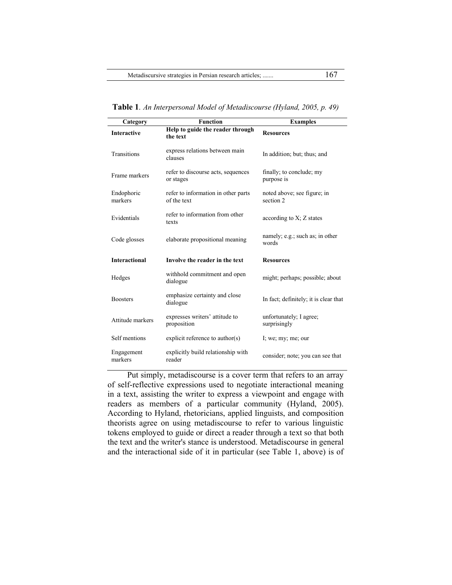**Table 1***. An Interpersonal Model of Metadiscourse (Hyland, 2005, p. 49)*

| Category              | <b>Function</b>                                    | <b>Examples</b>                          |
|-----------------------|----------------------------------------------------|------------------------------------------|
| <b>Interactive</b>    | Help to guide the reader through<br>the text       | <b>Resources</b>                         |
| <b>Transitions</b>    | express relations between main<br>clauses          | In addition; but; thus; and              |
| Frame markers         | refer to discourse acts, sequences<br>or stages    | finally; to conclude; my<br>purpose is   |
| Endophoric<br>markers | refer to information in other parts<br>of the text | noted above; see figure; in<br>section 2 |
| Evidentials           | refer to information from other<br>texts           | according to $X$ ; $Z$ states            |
| Code glosses          | elaborate propositional meaning                    | namely; e.g.; such as; in other<br>words |
| <b>Interactional</b>  | Involve the reader in the text                     | <b>Resources</b>                         |
| Hedges                | withhold commitment and open<br>dialogue           | might; perhaps; possible; about          |
| <b>Boosters</b>       | emphasize certainty and close<br>dialogue          | In fact; definitely; it is clear that    |
| Attitude markers      | expresses writers' attitude to<br>proposition      | unfortunately; I agree;<br>surprisingly  |
| Self mentions         | explicit reference to author(s)                    | I; we; my; me; our                       |
| Engagement<br>markers | explicitly build relationship with<br>reader       | consider; note; you can see that         |

Put simply, metadiscourse is a cover term that refers to an array of self-reflective expressions used to negotiate interactional meaning in a text, assisting the writer to express a viewpoint and engage with readers as members of a particular community (Hyland, 2005). According to Hyland, rhetoricians, applied linguists, and composition theorists agree on using metadiscourse to refer to various linguistic tokens employed to guide or direct a reader through a text so that both the text and the writer's stance is understood. Metadiscourse in general and the interactional side of it in particular (see Table 1, above) is of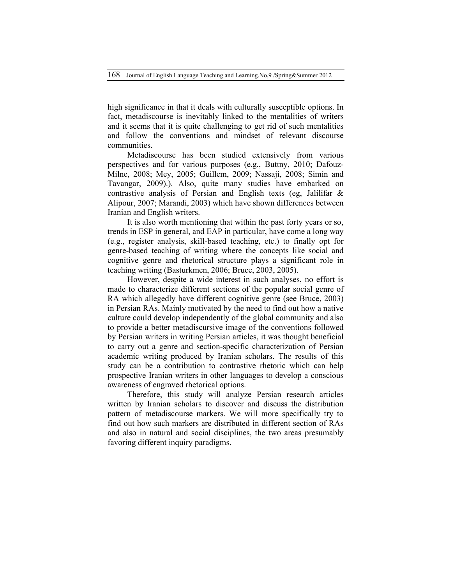high significance in that it deals with culturally susceptible options. In fact, metadiscourse is inevitably linked to the mentalities of writers and it seems that it is quite challenging to get rid of such mentalities and follow the conventions and mindset of relevant discourse communities.

Metadiscourse has been studied extensively from various perspectives and for various purposes (e.g., Buttny, 2010; Dafouz-Milne, 2008; Mey, 2005; Guillem, 2009; Nassaji, 2008; Simin and Tavangar, 2009).). Also, quite many studies have embarked on contrastive analysis of Persian and English texts (eg, Jalilifar & Alipour, 2007; Marandi, 2003) which have shown differences between Iranian and English writers.

It is also worth mentioning that within the past forty years or so, trends in ESP in general, and EAP in particular, have come a long way (e.g., register analysis, skill-based teaching, etc.) to finally opt for genre-based teaching of writing where the concepts like social and cognitive genre and rhetorical structure plays a significant role in teaching writing (Basturkmen, 2006; Bruce, 2003, 2005).

However, despite a wide interest in such analyses, no effort is made to characterize different sections of the popular social genre of RA which allegedly have different cognitive genre (see Bruce, 2003) in Persian RAs. Mainly motivated by the need to find out how a native culture could develop independently of the global community and also to provide a better metadiscursive image of the conventions followed by Persian writers in writing Persian articles, it was thought beneficial to carry out a genre and section-specific characterization of Persian academic writing produced by Iranian scholars. The results of this study can be a contribution to contrastive rhetoric which can help prospective Iranian writers in other languages to develop a conscious awareness of engraved rhetorical options.

Therefore, this study will analyze Persian research articles written by Iranian scholars to discover and discuss the distribution pattern of metadiscourse markers. We will more specifically try to find out how such markers are distributed in different section of RAs and also in natural and social disciplines, the two areas presumably favoring different inquiry paradigms.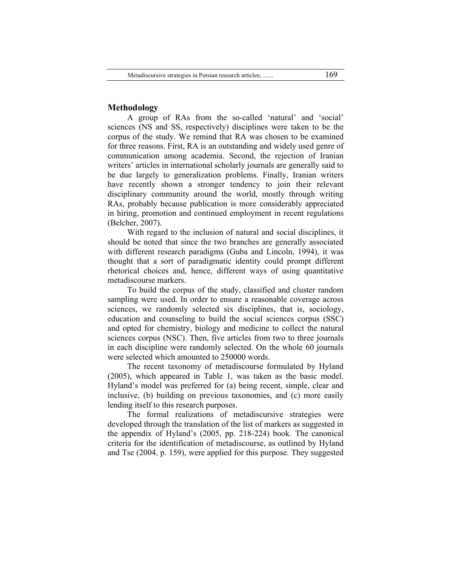## **Methodology**

A group of RAs from the so-called 'natural' and 'social' sciences (NS and SS, respectively) disciplines were taken to be the corpus of the study. We remind that RA was chosen to be examined for three reasons. First, RA is an outstanding and widely used genre of communication among academia. Second, the rejection of Iranian writers' articles in international scholarly journals are generally said to be due largely to generalization problems. Finally, Iranian writers have recently shown a stronger tendency to join their relevant disciplinary community around the world, mostly through writing RAs, probably because publication is more considerably appreciated in hiring, promotion and continued employment in recent regulations (Belcher, 2007).

With regard to the inclusion of natural and social disciplines, it should be noted that since the two branches are generally associated with different research paradigms (Guba and Lincoln, 1994), it was thought that a sort of paradigmatic identity could prompt different rhetorical choices and, hence, different ways of using quantitative metadiscourse markers.

To build the corpus of the study, classified and cluster random sampling were used. In order to ensure a reasonable coverage across sciences, we randomly selected six disciplines, that is, sociology, education and counseling to build the social sciences corpus (SSC) and opted for chemistry, biology and medicine to collect the natural sciences corpus (NSC). Then, five articles from two to three journals in each discipline were randomly selected. On the whole 60 journals were selected which amounted to 250000 words.

The recent taxonomy of metadiscourse formulated by Hyland (2005), which appeared in Table 1, was taken as the basic model. Hyland's model was preferred for (a) being recent, simple, clear and inclusive, (b) building on previous taxonomies, and (c) more easily lending itself to this research purposes.

The formal realizations of metadiscursive strategies were developed through the translation of the list of markers as suggested in the appendix of Hyland's (2005, pp. 218-224) book. The canonical criteria for the identification of metadiscourse, as outlined by Hyland and Tse (2004, p. 159), were applied for this purpose. They suggested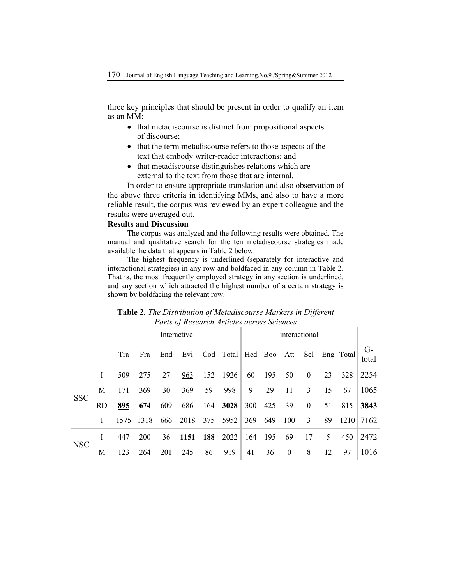three key principles that should be present in order to qualify an item as an MM:

- that metadiscourse is distinct from propositional aspects of discourse;
- that the term metadiscourse refers to those aspects of the text that embody writer-reader interactions; and
- that metadiscourse distinguishes relations which are external to the text from those that are internal.

In order to ensure appropriate translation and also observation of the above three criteria in identifying MMs, and also to have a more reliable result, the corpus was reviewed by an expert colleague and the results were averaged out.

## **Results and Discussion**

The corpus was analyzed and the following results were obtained. The manual and qualitative search for the ten metadiscourse strategies made available the data that appears in Table 2 below.

The highest frequency is underlined (separately for interactive and interactional strategies) in any row and boldfaced in any column in Table 2. That is, the most frequently employed strategy in any section is underlined, and any section which attracted the highest number of a certain strategy is shown by boldfacing the relevant row.

| Interactive |     |      |            |     |            |     | interactional     |     |     |                  |              |    |           |               |
|-------------|-----|------|------------|-----|------------|-----|-------------------|-----|-----|------------------|--------------|----|-----------|---------------|
|             |     | Tra  | Fra        | End | Evi        |     | Cod Total Hed Boo |     |     | Att              | Sel          |    | Eng Total | $G-$<br>total |
| <b>SSC</b>  | L   | 509  | 275        | 27  | 963        | 152 | 1926              | 60  | 195 | 50               | $\mathbf{0}$ | 23 | 328       | 2254          |
|             | М   | 171  | 369        | 30  | <u>369</u> | 59  | 998               | 9   | 29  | 11               | 3            | 15 | 67        | 1065          |
|             | RD. | 895  | 674        | 609 | 686        | 164 | 3028              | 300 | 425 | 39               | $\mathbf{0}$ | 51 | 815       | 3843          |
|             | T   | 1575 | 1318       | 666 | 2018       | 375 | 5952              | 369 | 649 | 100              | 3            | 89 | 1210      | 7162          |
| <b>NSC</b>  | I   | 447  | <b>200</b> | 36  | 1151       | 188 | 2022              | 164 | 195 | 69               | 17           | 5  | 450       | 2472          |
|             | M   | 123  | 264        | 201 | 245        | 86  | 919               | 41  | 36  | $\boldsymbol{0}$ | 8            | 12 | 97        | 1016          |

**Table 2***. The Distribution of Metadiscourse Markers in Different Parts of Research Articles across Sciences*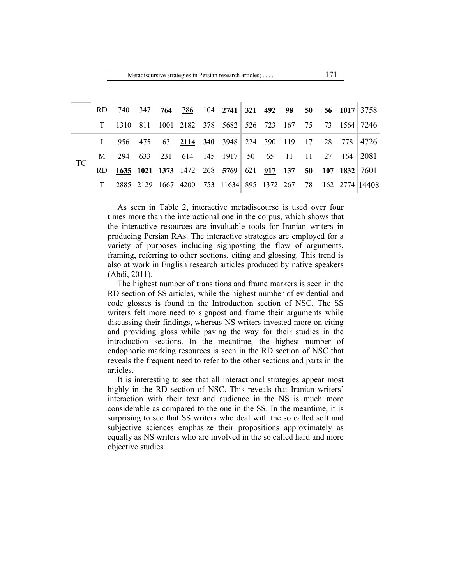|           | Metadiscursive strategies in Persian research articles; |      |           |      |      |  |                              |     |              |     |    |    | 171        |                |
|-----------|---------------------------------------------------------|------|-----------|------|------|--|------------------------------|-----|--------------|-----|----|----|------------|----------------|
|           | RD.                                                     | 740  | 347       | 764  | 786  |  | $104$ 2741                   |     | 321 492 98   |     | 50 |    | 56 1017    | 3758           |
|           | T                                                       | 1310 | 811       | 1001 | 2182 |  | 378 5682 526 723 167         |     |              |     | 75 | 73 | 1564 l     | 7246           |
|           | L                                                       | 956  | 475       | 63   | 2114 |  | 340 3948                     |     | 224 390      | 119 | 17 | 28 | 778        | 4726           |
| <b>TC</b> | M                                                       | 294  | 633       | 231  | 614  |  | $145$ 1917                   | 50  | 65           | -11 | 11 | 27 | 164        | 2081           |
|           | RD.                                                     |      |           |      |      |  | 1635 1021 1373 1472 268 5769 | 621 | 917          | 137 | 50 |    | $107$ 1832 | 7601           |
|           | T                                                       |      | 2885 2129 | 1667 | 4200 |  | 753 11634                    |     | 895 1372 267 |     | 78 |    |            | 162 2774 14408 |

As seen in Table 2, interactive metadiscourse is used over four times more than the interactional one in the corpus, which shows that the interactive resources are invaluable tools for Iranian writers in producing Persian RAs. The interactive strategies are employed for a variety of purposes including signposting the flow of arguments, framing, referring to other sections, citing and glossing. This trend is also at work in English research articles produced by native speakers (Abdi, 2011).

The highest number of transitions and frame markers is seen in the RD section of SS articles, while the highest number of evidential and code glosses is found in the Introduction section of NSC. The SS writers felt more need to signpost and frame their arguments while discussing their findings, whereas NS writers invested more on citing and providing gloss while paving the way for their studies in the introduction sections. In the meantime, the highest number of endophoric marking resources is seen in the RD section of NSC that reveals the frequent need to refer to the other sections and parts in the articles.

It is interesting to see that all interactional strategies appear most highly in the RD section of NSC. This reveals that Iranian writers' interaction with their text and audience in the NS is much more considerable as compared to the one in the SS. In the meantime, it is surprising to see that SS writers who deal with the so called soft and subjective sciences emphasize their propositions approximately as equally as NS writers who are involved in the so called hard and more objective studies.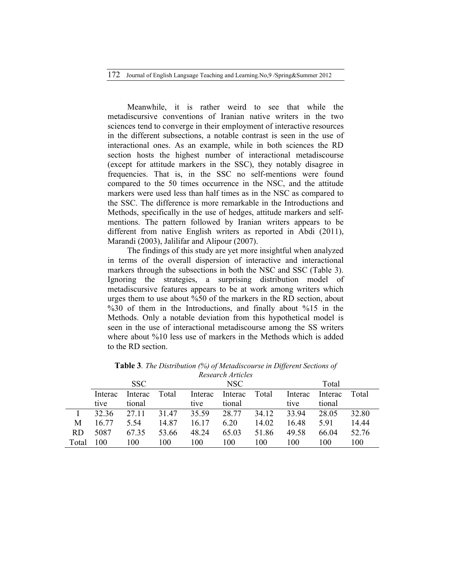172 Journal of English Language Teaching and Learning.No,9 /Spring&Summer 2012

Meanwhile, it is rather weird to see that while the metadiscursive conventions of Iranian native writers in the two sciences tend to converge in their employment of interactive resources in the different subsections, a notable contrast is seen in the use of interactional ones. As an example, while in both sciences the RD section hosts the highest number of interactional metadiscourse (except for attitude markers in the SSC), they notably disagree in frequencies. That is, in the SSC no self-mentions were found compared to the 50 times occurrence in the NSC, and the attitude markers were used less than half times as in the NSC as compared to the SSC. The difference is more remarkable in the Introductions and Methods, specifically in the use of hedges, attitude markers and selfmentions. The pattern followed by Iranian writers appears to be different from native English writers as reported in Abdi (2011), Marandi (2003), Jalilifar and Alipour (2007).

The findings of this study are yet more insightful when analyzed in terms of the overall dispersion of interactive and interactional markers through the subsections in both the NSC and SSC (Table 3). Ignoring the strategies, a surprising distribution model of metadiscursive features appears to be at work among writers which urges them to use about %50 of the markers in the RD section, about %30 of them in the Introductions, and finally about %15 in the Methods. Only a notable deviation from this hypothetical model is seen in the use of interactional metadiscourse among the SS writers where about %10 less use of markers in the Methods which is added to the RD section.

|       |         | <b>SSC</b> |       |         | NSC     |       | Total   |         |       |  |
|-------|---------|------------|-------|---------|---------|-------|---------|---------|-------|--|
|       | Interac | Interac    | Total | Interac | Interac | Total | Interac | Interac | Total |  |
|       | tive    | tional     |       | tive    | tional  |       | tive    | tional  |       |  |
|       | 32 36   | 27.11      | 31 47 | 35.59   | 28.77   | 34.12 | 33.94   | 28.05   | 32.80 |  |
| M     | 16 77   | 5.54       | 14.87 | 16 17   | 6.20    | 14.02 | 16.48   | 591     | 14.44 |  |
| RD.   | 5087    | 67.35      | 53.66 | 48.24   | 65.03   | 51.86 | 49.58   | 66.04   | 52.76 |  |
| Total | 100     | 100        | 100   | 100     | 100     | 100   | 100     | 100     | 100   |  |

**Table 3***. The Distribution (%) of Metadiscourse in Different Sections of Research Articles*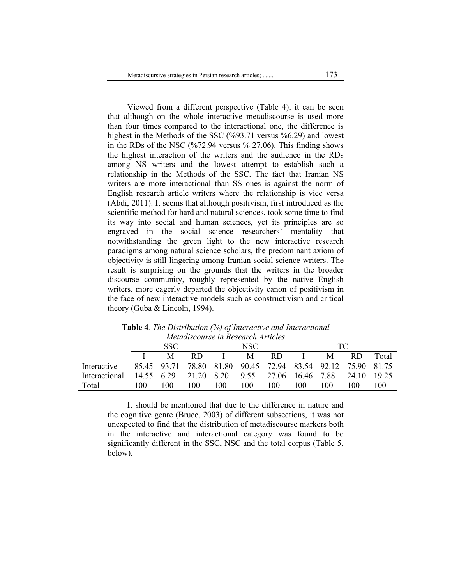Metadiscursive strategies in Persian research articles; ....... 173

Viewed from a different perspective (Table 4), it can be seen that although on the whole interactive metadiscourse is used more than four times compared to the interactional one, the difference is highest in the Methods of the SSC (%93.71 versus %6.29) and lowest in the RDs of the NSC (%72.94 versus % 27.06). This finding shows the highest interaction of the writers and the audience in the RDs among NS writers and the lowest attempt to establish such a relationship in the Methods of the SSC. The fact that Iranian NS writers are more interactional than SS ones is against the norm of English research article writers where the relationship is vice versa (Abdi, 2011). It seems that although positivism, first introduced as the scientific method for hard and natural sciences, took some time to find its way into social and human sciences, yet its principles are so engraved in the social science researchers' mentality that notwithstanding the green light to the new interactive research paradigms among natural science scholars, the predominant axiom of objectivity is still lingering among Iranian social science writers. The result is surprising on the grounds that the writers in the broader discourse community, roughly represented by the native English writers, more eagerly departed the objectivity canon of positivism in the face of new interactive models such as constructivism and critical theory (Guba & Lincoln, 1994).

|               | menanscourse in Research Articles |      |     |      |     |                                                             |     |     |             |       |  |
|---------------|-----------------------------------|------|-----|------|-----|-------------------------------------------------------------|-----|-----|-------------|-------|--|
|               |                                   | SSC. |     | NSC- |     |                                                             | TC  |     |             |       |  |
|               |                                   | M    | RD. |      | М   | RD.                                                         |     | M   | RD.         | Total |  |
| Interactive   |                                   |      |     |      |     | 85.45 93.71 78.80 81.80 90.45 72.94 83.54 92.12 75.90 81.75 |     |     |             |       |  |
| Interactional | 14.55 6.29                        |      |     |      |     | 21.20 8.20 9.55 27.06 16.46 7.88                            |     |     | 24.10 19.25 |       |  |
| Total         | 100                               | 100  | 100 | 100  | 100 | 100                                                         | 100 | 100 | 100         | 100   |  |

**Table 4***. The Distribution (%) of Interactive and Interactional Metadiscourse in Research Articles*

It should be mentioned that due to the difference in nature and the cognitive genre (Bruce, 2003) of different subsections, it was not unexpected to find that the distribution of metadiscourse markers both in the interactive and interactional category was found to be significantly different in the SSC, NSC and the total corpus (Table 5, below).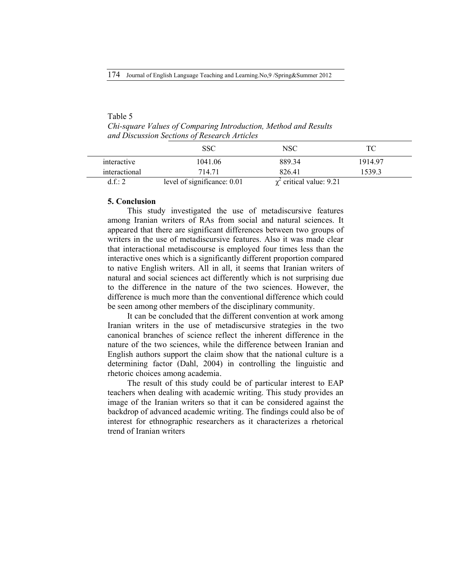# Table 5

*Chi-square Values of Comparing Introduction, Method and Results and Discussion Sections of Research Articles*

|               | SSC                         | NSC                           | ТC      |
|---------------|-----------------------------|-------------------------------|---------|
| interactive   | 1041.06                     | 88934                         | 1914 97 |
| interactional | 714 71                      | 826.41                        | 1539.3  |
| $d f \cdot 2$ | level of significance: 0.01 | $\chi^2$ critical value: 9.21 |         |

### **5. Conclusion**

This study investigated the use of metadiscursive features among Iranian writers of RAs from social and natural sciences. It appeared that there are significant differences between two groups of writers in the use of metadiscursive features. Also it was made clear that interactional metadiscourse is employed four times less than the interactive ones which is a significantly different proportion compared to native English writers. All in all, it seems that Iranian writers of natural and social sciences act differently which is not surprising due to the difference in the nature of the two sciences. However, the difference is much more than the conventional difference which could be seen among other members of the disciplinary community.

It can be concluded that the different convention at work among Iranian writers in the use of metadiscursive strategies in the two canonical branches of science reflect the inherent difference in the nature of the two sciences, while the difference between Iranian and English authors support the claim show that the national culture is a determining factor (Dahl, 2004) in controlling the linguistic and rhetoric choices among academia.

The result of this study could be of particular interest to EAP teachers when dealing with academic writing. This study provides an image of the Iranian writers so that it can be considered against the backdrop of advanced academic writing. The findings could also be of interest for ethnographic researchers as it characterizes a rhetorical trend of Iranian writers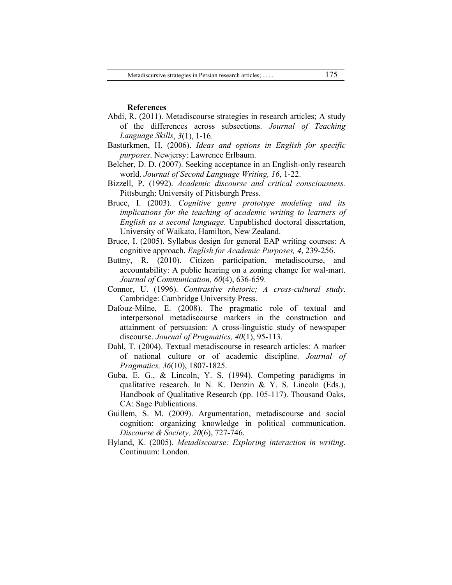### **References**

- Abdi, R. (2011). Metadiscourse strategies in research articles; A study of the differences across subsections. *Journal of Teaching Language Skills*, *3*(1), 1-16.
- Basturkmen, H. (2006). *Ideas and options in English for specific purposes*. Newjersy: Lawrence Erlbaum.
- Belcher, D. D. (2007). Seeking acceptance in an English-only research world. *Journal of Second Language Writing, 16*, 1-22.
- Bizzell, P. (1992). *Academic discourse and critical consciousness.* Pittsburgh: University of Pittsburgh Press.
- Bruce, I. (2003). *Cognitive genre prototype modeling and its implications for the teaching of academic writing to learners of English as a second language*. Unpublished doctoral dissertation, University of Waikato, Hamilton, New Zealand.
- Bruce, I. (2005). Syllabus design for general EAP writing courses: A cognitive approach. *English for Academic Purposes, 4*, 239-256.
- Buttny, R. (2010). Citizen participation, metadiscourse, and accountability: A public hearing on a zoning change for wal-mart. *Journal of Communication, 60*(4), 636-659.
- Connor, U. (1996). *Contrastive rhetoric; A cross-cultural study*. Cambridge: Cambridge University Press.
- Dafouz-Milne, E. (2008). The pragmatic role of textual and interpersonal metadiscourse markers in the construction and attainment of persuasion: A cross-linguistic study of newspaper discourse. *Journal of Pragmatics, 40*(1), 95-113.
- Dahl, T. (2004). Textual metadiscourse in research articles: A marker of national culture or of academic discipline. *Journal of Pragmatics, 36*(10), 1807-1825.
- Guba, E. G., & Lincoln, Y. S. (1994). Competing paradigms in qualitative research. In N. K. Denzin  $\& Y. S.$  Lincoln (Eds.), Handbook of Qualitative Research (pp. 105-117). Thousand Oaks, CA: Sage Publications.
- Guillem, S. M. (2009). Argumentation, metadiscourse and social cognition: organizing knowledge in political communication. *Discourse & Society, 20*(6), 727-746.
- Hyland, K. (2005). *Metadiscourse: Exploring interaction in writing*. Continuum: London.